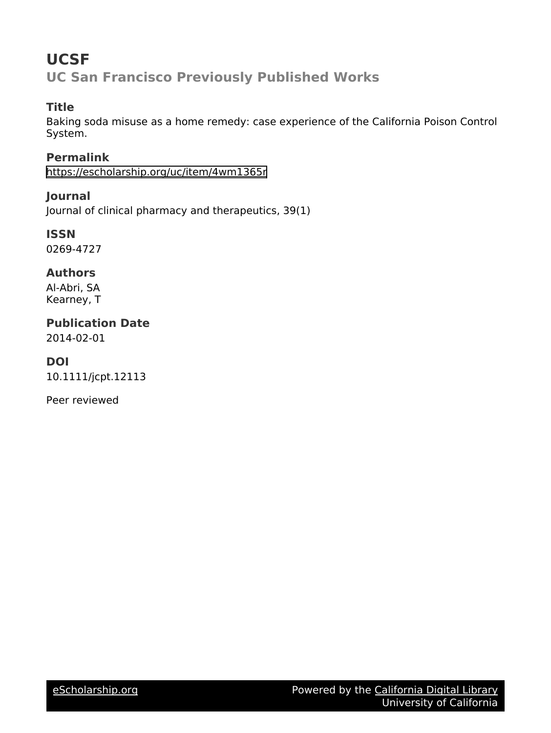## **UCSF UC San Francisco Previously Published Works**

### **Title**

Baking soda misuse as a home remedy: case experience of the California Poison Control System.

**Permalink** <https://escholarship.org/uc/item/4wm1365r>

**Journal** Journal of clinical pharmacy and therapeutics, 39(1)

**ISSN** 0269-4727

## **Authors**

Al-Abri, SA Kearney, T

# **Publication Date**

2014-02-01

## **DOI**

10.1111/jcpt.12113

Peer reviewed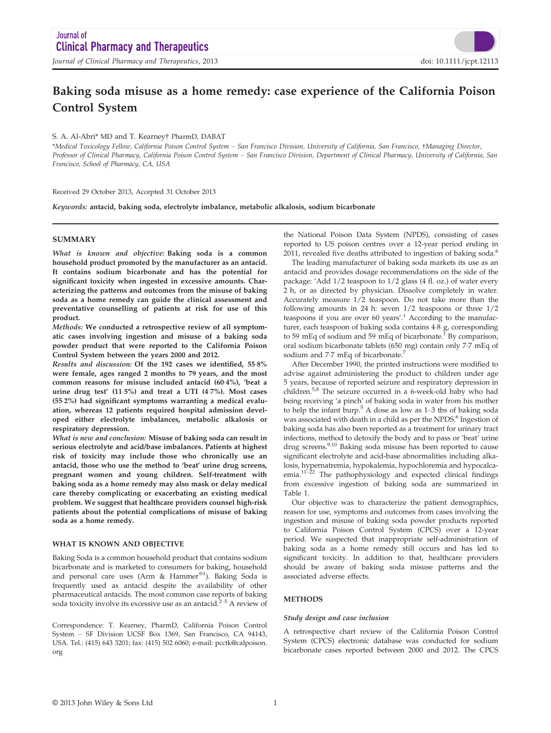Journal of Clinical Pharmacy and Therapeutics, 2013 doi: 10.1111/jcpt.12113



## Baking soda misuse as a home remedy: case experience of the California Poison Control System

#### S. A. Al-Abri\* MD and T. Kearney† PharmD, DABAT

\*Medical Toxicology Fellow, California Poison Control System – San Francisco Division, University of California, San Francisco, †Managing Director, Professor of Clinical Pharmacy, California Poison Control System – San Francisco Division, Department of Clinical Pharmacy, University of California, San Francisco, School of Pharmacy, CA, USA

Received 29 October 2013, Accepted 31 October 2013

Keywords: antacid, baking soda, electrolyte imbalance, metabolic alkalosis, sodium bicarbonate

#### **SUMMARY**

What is known and objective: Baking soda is a common household product promoted by the manufacturer as an antacid. It contains sodium bicarbonate and has the potential for significant toxicity when ingested in excessive amounts. Characterizing the patterns and outcomes from the misuse of baking soda as a home remedy can guide the clinical assessment and preventative counselling of patients at risk for use of this product.

Methods: We conducted a retrospective review of all symptomatic cases involving ingestion and misuse of a baking soda powder product that were reported to the California Poison Control System between the years 2000 and 2012.

Results and discussion: Of the 192 cases we identified, 558% were female, ages ranged 2 months to 79 years, and the most common reasons for misuse included antacid (604%), 'beat a urine drug test' (115%) and treat a UTI (47%). Most cases (552%) had significant symptoms warranting a medical evaluation, whereas 12 patients required hospital admission developed either electrolyte imbalances, metabolic alkalosis or respiratory depression.

What is new and conclusion: Misuse of baking soda can result in serious electrolyte and acid/base imbalances. Patients at highest risk of toxicity may include those who chronically use an antacid, those who use the method to 'beat' urine drug screens, pregnant women and young children. Self-treatment with baking soda as a home remedy may also mask or delay medical care thereby complicating or exacerbating an existing medical problem. We suggest that healthcare providers counsel high-risk patients about the potential complications of misuse of baking soda as a home remedy.

#### WHAT IS KNOWN AND OBJECTIVE

Baking Soda is a common household product that contains sodium bicarbonate and is marketed to consumers for baking, household and personal care uses (Arm & Hammer®1). Baking Soda is frequently used as antacid despite the availability of other pharmaceutical antacids. The most common case reports of baking soda toxicity involve its excessive use as an antacid.<sup>2–5</sup> A review of

Correspondence: T. Kearney, PharmD, California Poison Control System – SF Division UCSF Box 1369, San Francisco, CA 94143, USA. Tel.: (415) 643 3201; fax: (415) 502 6060; e-mail: pcctk@calpoison. org

the National Poison Data System (NPDS), consisting of cases reported to US poison centres over a 12-year period ending in 2011, revealed five deaths attributed to ingestion of baking soda.<sup>6</sup>

The leading manufacturer of baking soda markets its use as an antacid and provides dosage recommendations on the side of the package: 'Add 1/2 teaspoon to 1/2 glass (4 fl. oz.) of water every 2 h, or as directed by physician. Dissolve completely in water. Accurately measure 1/2 teaspoon. Do not take more than the following amounts in 24 h: seven 1/2 teaspoons or three 1/2 teaspoons if you are over 60 years'. <sup>1</sup> According to the manufacturer, each teaspoon of baking soda contains 4.8 g, corresponding to 59 mEq of sodium and 59 mEq of bicarbonate.<sup>1</sup> By comparison, oral sodium bicarbonate tablets (650 mg) contain only 77 mEq of sodium and 7.7 mEq of bicarbonate.<sup>7</sup>

After December 1990, the printed instructions were modified to advise against administering the product to children under age 5 years, because of reported seizure and respiratory depression in children.<sup>5,8</sup> The seizure occurred in a 6-week-old baby who had being receiving 'a pinch' of baking soda in water from his mother to help the infant burp.<sup>5</sup> A dose as low as  $1-3$  tbs of baking soda was associated with death in a child as per the NPDS.<sup>6</sup> Ingestion of baking soda has also been reported as a treatment for urinary tract infections, method to detoxify the body and to pass or 'beat' urine drug screens.<sup>9,10</sup> Baking soda misuse has been reported to cause significant electrolyte and acid-base abnormalities including alkalosis, hypernatremia, hypokalemia, hypochloremia and hypocalca-<br>emia.<sup>11–22</sup> The pathophysiology and expected clinical findings from excessive ingestion of baking soda are summarized in Table 1.

Our objective was to characterize the patient demographics, reason for use, symptoms and outcomes from cases involving the ingestion and misuse of baking soda powder products reported to California Poison Control System (CPCS) over a 12-year period. We suspected that inappropriate self-administration of baking soda as a home remedy still occurs and has led to significant toxicity. In addition to that, healthcare providers should be aware of baking soda misuse patterns and the associated adverse effects.

#### **METHODS**

#### Study design and case inclusion

A retrospective chart review of the California Poison Control System (CPCS) electronic database was conducted for sodium bicarbonate cases reported between 2000 and 2012. The CPCS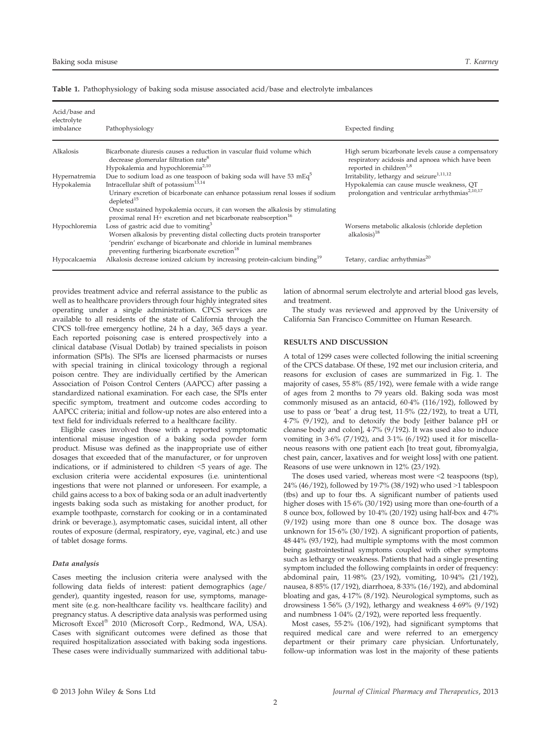| Acid/base and<br>electrolyte<br>imbalance | Pathophysiology                                                                                                                                                                                                                                            | Expected finding                                                                                                                                         |
|-------------------------------------------|------------------------------------------------------------------------------------------------------------------------------------------------------------------------------------------------------------------------------------------------------------|----------------------------------------------------------------------------------------------------------------------------------------------------------|
| Alkalosis                                 | Bicarbonate diuresis causes a reduction in vascular fluid volume which<br>decrease glomerular filtration rate <sup>8</sup><br>Hypokalemia and hypochloremia <sup>2,10</sup>                                                                                | High serum bicarbonate levels cause a compensatory<br>respiratory acidosis and apnoea which have been<br>reported in children <sup>1,8</sup>             |
| Hypernatremia<br>Hypokalemia              | Due to sodium load as one teaspoon of baking soda will have $53 \text{ mEq}^5$<br>Intracellular shift of potassium $^{13,14}$<br>Urinary excretion of bicarbonate can enhance potassium renal losses if sodium<br>depleted <sup>15</sup>                   | Irritability, lethargy and seizure $1,11,12$<br>Hypokalemia can cause muscle weakness, QT<br>prolongation and ventricular arrhythmias <sup>2,10,17</sup> |
|                                           | Once sustained hypokalemia occurs, it can worsen the alkalosis by stimulating<br>proximal renal H+ excretion and net bicarbonate reabsorption <sup>16</sup>                                                                                                |                                                                                                                                                          |
| Hypochloremia                             | Loss of gastric acid due to vomiting $3$<br>Worsen alkalosis by preventing distal collecting ducts protein transporter<br>'pendrin' exchange of bicarbonate and chloride in luminal membranes<br>preventing furthering bicarbonate excretion <sup>18</sup> | Worsens metabolic alkalosis (chloride depletion<br>$alkalosis)$ <sup>18</sup>                                                                            |
| Hypocalcaemia                             | Alkalosis decrease ionized calcium by increasing protein-calcium binding <sup>19</sup>                                                                                                                                                                     | Tetany, cardiac arrhythmias <sup>20</sup>                                                                                                                |

Table 1. Pathophysiology of baking soda misuse associated acid/base and electrolyte imbalances

provides treatment advice and referral assistance to the public as well as to healthcare providers through four highly integrated sites operating under a single administration. CPCS services are available to all residents of the state of California through the CPCS toll-free emergency hotline, 24 h a day, 365 days a year. Each reported poisoning case is entered prospectively into a clinical database (Visual Dotlab) by trained specialists in poison information (SPIs). The SPIs are licensed pharmacists or nurses with special training in clinical toxicology through a regional poison centre. They are individually certified by the American Association of Poison Control Centers (AAPCC) after passing a standardized national examination. For each case, the SPIs enter specific symptom, treatment and outcome codes according to AAPCC criteria; initial and follow-up notes are also entered into a text field for individuals referred to a healthcare facility.

Eligible cases involved those with a reported symptomatic intentional misuse ingestion of a baking soda powder form product. Misuse was defined as the inappropriate use of either dosages that exceeded that of the manufacturer, or for unproven indications, or if administered to children  $\leq$  years of age. The exclusion criteria were accidental exposures (i.e. unintentional ingestions that were not planned or unforeseen. For example, a child gains access to a box of baking soda or an adult inadvertently ingests baking soda such as mistaking for another product, for example toothpaste, cornstarch for cooking or in a contaminated drink or beverage.), asymptomatic cases, suicidal intent, all other routes of exposure (dermal, respiratory, eye, vaginal, etc.) and use of tablet dosage forms.

#### Data analysis

Cases meeting the inclusion criteria were analysed with the following data fields of interest: patient demographics (age/ gender), quantity ingested, reason for use, symptoms, management site (e.g. non-healthcare facility vs. healthcare facility) and pregnancy status. A descriptive data analysis was performed using Microsoft Excel<sup>®</sup> 2010 (Microsoft Corp., Redmond, WA, USA). Cases with significant outcomes were defined as those that required hospitalization associated with baking soda ingestions. These cases were individually summarized with additional tabulation of abnormal serum electrolyte and arterial blood gas levels, and treatment.

The study was reviewed and approved by the University of California San Francisco Committee on Human Research.

#### RESULTS AND DISCUSSION

A total of 1299 cases were collected following the initial screening of the CPCS database. Of these, 192 met our inclusion criteria, and reasons for exclusion of cases are summarized in Fig. 1. The majority of cases, 558% (85/192), were female with a wide range of ages from 2 months to 79 years old. Baking soda was most commonly misused as an antacid, 604% (116/192), followed by use to pass or 'beat' a drug test, 115% (22/192), to treat a UTI, 47% (9/192), and to detoxify the body [either balance pH or cleanse body and colon], 47% (9/192). It was used also to induce vomiting in 36% (7/192), and 31% (6/192) used it for miscellaneous reasons with one patient each [to treat gout, fibromyalgia, chest pain, cancer, laxatives and for weight loss] with one patient. Reasons of use were unknown in 12% (23/192).

The doses used varied, whereas most were <2 teaspoons (tsp), 24% (46/192), followed by 197% (38/192) who used >1 tablespoon (tbs) and up to four tbs. A significant number of patients used higher doses with 156% (30/192) using more than one-fourth of a 8 ounce box, followed by 104% (20/192) using half-box and 47% (9/192) using more than one 8 ounce box. The dosage was unknown for 156% (30/192). A significant proportion of patients, 4844% (93/192), had multiple symptoms with the most common being gastrointestinal symptoms coupled with other symptoms such as lethargy or weakness. Patients that had a single presenting symptom included the following complaints in order of frequency: abdominal pain, 1198% (23/192), vomiting, 1094% (21/192), nausea, 885% (17/192), diarrhoea, 833% (16/192), and abdominal bloating and gas, 417% (8/192). Neurological symptoms, such as drowsiness 156% (3/192), lethargy and weakness 469% (9/192) and numbness  $1.04\%$  (2/192), were reported less frequently.

Most cases, 552% (106/192), had significant symptoms that required medical care and were referred to an emergency department or their primary care physician. Unfortunately, follow-up information was lost in the majority of these patients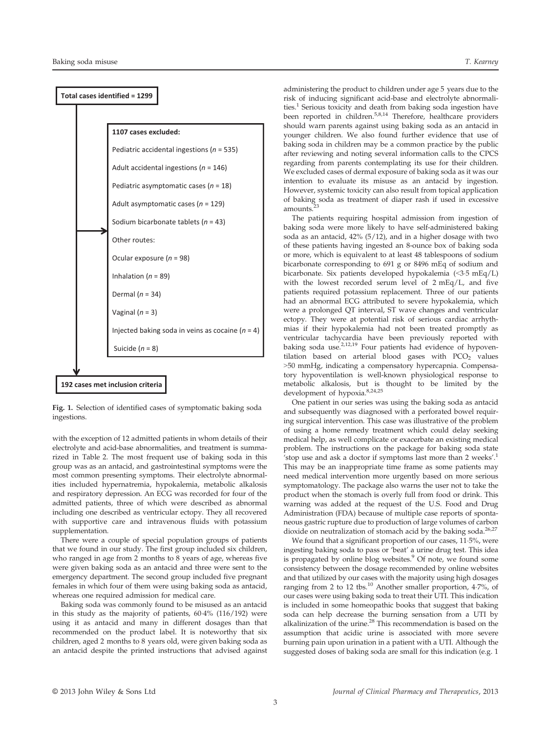

Fig. 1. Selection of identified cases of symptomatic baking soda ingestions.

with the exception of 12 admitted patients in whom details of their electrolyte and acid-base abnormalities, and treatment is summarized in Table 2. The most frequent use of baking soda in this group was as an antacid, and gastrointestinal symptoms were the most common presenting symptoms. Their electrolyte abnormalities included hypernatremia, hypokalemia, metabolic alkalosis and respiratory depression. An ECG was recorded for four of the admitted patients, three of which were described as abnormal including one described as ventricular ectopy. They all recovered with supportive care and intravenous fluids with potassium supplementation.

There were a couple of special population groups of patients that we found in our study. The first group included six children, who ranged in age from 2 months to 8 years of age, whereas five were given baking soda as an antacid and three were sent to the emergency department. The second group included five pregnant females in which four of them were using baking soda as antacid, whereas one required admission for medical care.

Baking soda was commonly found to be misused as an antacid in this study as the majority of patients, 604% (116/192) were using it as antacid and many in different dosages than that recommended on the product label. It is noteworthy that six children, aged 2 months to 8 years old, were given baking soda as an antacid despite the printed instructions that advised against administering the product to children under age 5 years due to the risk of inducing significant acid-base and electrolyte abnormalities.<sup>1</sup> Serious toxicity and death from baking soda ingestion have been reported in children.5,8,14 Therefore, healthcare providers should warn parents against using baking soda as an antacid in younger children. We also found further evidence that use of baking soda in children may be a common practice by the public after reviewing and noting several information calls to the CPCS regarding from parents contemplating its use for their children. We excluded cases of dermal exposure of baking soda as it was our intention to evaluate its misuse as an antacid by ingestion. However, systemic toxicity can also result from topical application of baking soda as treatment of diaper rash if used in excessive amounts.<sup>23</sup>

The patients requiring hospital admission from ingestion of baking soda were more likely to have self-administered baking soda as an antacid, 42% (5/12), and in a higher dosage with two of these patients having ingested an 8-ounce box of baking soda or more, which is equivalent to at least 48 tablespoons of sodium bicarbonate corresponding to 691 g or 8496 mEq of sodium and bicarbonate. Six patients developed hypokalemia (<35 mEq/L) with the lowest recorded serum level of  $2 mEq/L$ , and five patients required potassium replacement. Three of our patients had an abnormal ECG attributed to severe hypokalemia, which were a prolonged QT interval, ST wave changes and ventricular ectopy. They were at potential risk of serious cardiac arrhythmias if their hypokalemia had not been treated promptly as ventricular tachycardia have been previously reported with baking soda use.<sup>2,12,19</sup> Four patients had evidence of hypoventilation based on arterial blood gases with  $PCO<sub>2</sub>$  values >50 mmHg, indicating a compensatory hypercapnia. Compensatory hypoventilation is well-known physiological response to metabolic alkalosis, but is thought to be limited by the development of hypoxia.<sup>8,24,25</sup>

One patient in our series was using the baking soda as antacid and subsequently was diagnosed with a perforated bowel requiring surgical intervention. This case was illustrative of the problem of using a home remedy treatment which could delay seeking medical help, as well complicate or exacerbate an existing medical problem. The instructions on the package for baking soda state 'stop use and ask a doctor if symptoms last more than 2 weeks'. 1 This may be an inappropriate time frame as some patients may need medical intervention more urgently based on more serious symptomatology. The package also warns the user not to take the product when the stomach is overly full from food or drink. This warning was added at the request of the U.S. Food and Drug Administration (FDA) because of multiple case reports of spontaneous gastric rupture due to production of large volumes of carbon dioxide on neutralization of stomach acid by the baking soda.<sup>26,27</sup>

We found that a significant proportion of our cases, 11.5%, were ingesting baking soda to pass or 'beat' a urine drug test. This idea is propagated by online blog websites.<sup>9</sup> Of note, we found some consistency between the dosage recommended by online websites and that utilized by our cases with the majority using high dosages ranging from 2 to 12 tbs.<sup>10</sup> Another smaller proportion, 4.7%, of our cases were using baking soda to treat their UTI. This indication is included in some homeopathic books that suggest that baking soda can help decrease the burning sensation from a UTI by alkalinization of the urine.28 This recommendation is based on the assumption that acidic urine is associated with more severe burning pain upon urination in a patient with a UTI. Although the suggested doses of baking soda are small for this indication (e.g. 1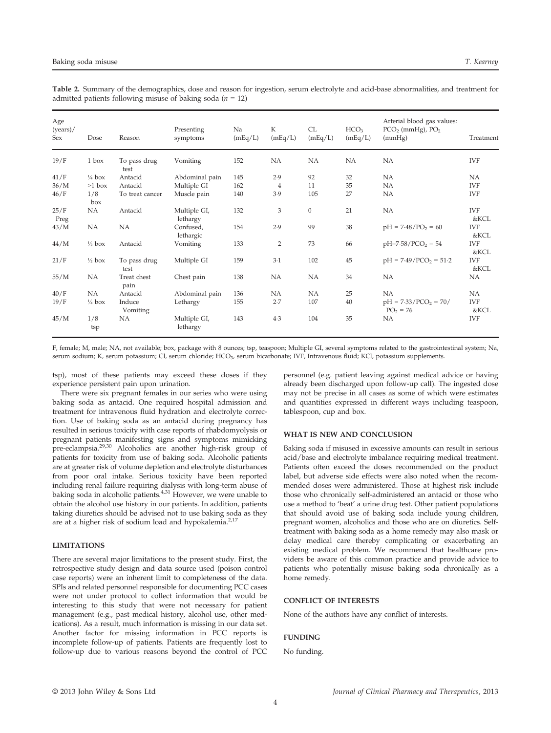46/F 1/8

25/F Preg<br>43/M box

21/F ½ box To pass drug

55/M NA Treat chest

 $19/F$   $\frac{1}{4}$  box Induce

tsp

45/M 1/8

test

test

pain

Vomiting

NA Antacid Multiple GI,

NA NA Confused.

lethargy

lethargic

lethargy

&KCL<br>IVF

&KCL<br>IVE

&KCL

&KCL

IVF &KCL

| admitted patients following misuse of baking soda ( $n = 12$ ) |       |              |                        |               |         |                |                             |                                                              |            |  |  |
|----------------------------------------------------------------|-------|--------------|------------------------|---------------|---------|----------------|-----------------------------|--------------------------------------------------------------|------------|--|--|
| Age<br>(years) /<br><b>Sex</b>                                 | Dose  | Reason       | Presenting<br>symptoms | Na<br>(mEq/L) | (mEq/L) | CL.<br>(mEq/L) | HCO <sub>3</sub><br>(mEq/L) | Arterial blood gas values:<br>$PCO2$ (mmHg), $PO2$<br>(mmHg) | Treatment  |  |  |
| 19/F                                                           | l box | To pass drug | Vomiting               | 152           | NА      | NΑ             | NA                          | <b>NA</b>                                                    | <b>IVF</b> |  |  |

To treat cancer Muscle pain 140 39 105 27 NA IVF

41/F ¼ box Antacid Abdominal pain 145 29 92 32 NA NA 36/M >1 box Antacid Multiple GI 162 4 11 35 NA IVF

 $44/M$   $\frac{1}{2}$  box Antacid Vomiting 133 2 73 66 pH=7-58/PCO<sub>2</sub> = 54

Table 2. Summary of the demographics, dose and reason for ingestion, serum electrolyte and acid-base abnormalities, and treatment for admitted patients following misuse of baking soda ( $n = 12$ )

F, female; M, male; NA, not available; box, package with 8 ounces; tsp, teaspoon; Multiple GI, several symptoms related to the gastrointestinal system; Na, serum sodium; K, serum potassium; Cl, serum chloride; HCO<sub>3</sub>, serum bicarbonate; IVF, Intravenous fluid; KCl, potassium supplements.

40/F NA Antacid Abdominal pain 136 NA NA 25 NA NA

tsp), most of these patients may exceed these doses if they experience persistent pain upon urination.

NA Multiple GI,

There were six pregnant females in our series who were using baking soda as antacid. One required hospital admission and treatment for intravenous fluid hydration and electrolyte correction. Use of baking soda as an antacid during pregnancy has resulted in serious toxicity with case reports of rhabdomyolysis or pregnant patients manifesting signs and symptoms mimicking pre-eclampsia.29,30 Alcoholics are another high-risk group of patients for toxicity from use of baking soda. Alcoholic patients are at greater risk of volume depletion and electrolyte disturbances from poor oral intake. Serious toxicity have been reported including renal failure requiring dialysis with long-term abuse of baking soda in alcoholic patients.4,31 However, we were unable to obtain the alcohol use history in our patients. In addition, patients taking diuretics should be advised not to use baking soda as they are at a higher risk of sodium load and hypokalemia.2,17

#### LIMITATIONS

There are several major limitations to the present study. First, the retrospective study design and data source used (poison control case reports) were an inherent limit to completeness of the data. SPIs and related personnel responsible for documenting PCC cases were not under protocol to collect information that would be interesting to this study that were not necessary for patient management (e.g., past medical history, alcohol use, other medications). As a result, much information is missing in our data set. Another factor for missing information in PCC reports is incomplete follow-up of patients. Patients are frequently lost to follow-up due to various reasons beyond the control of PCC

personnel (e.g. patient leaving against medical advice or having already been discharged upon follow-up call). The ingested dose may not be precise in all cases as some of which were estimates and quantities expressed in different ways including teaspoon, tablespoon, cup and box.

 $PO<sub>2</sub> = 76$ <br>NA

#### WHAT IS NEW AND CONCLUSION

132 3 0 21 NA IVF

143 43 104 35 NA IVF

154 2.9 99 38 pH =  $7.48/PO_2 = 60$ 

Multiple GI 159 3.1 102 45 pH = 7.49/PCO<sub>2</sub> = 51.2 IVF

Chest pain 138 NA NA 34 NA NA

Lethargy 155 2.7 107 40 pH =  $7.33/PCO_2 = 70/$ 

Baking soda if misused in excessive amounts can result in serious acid/base and electrolyte imbalance requiring medical treatment. Patients often exceed the doses recommended on the product label, but adverse side effects were also noted when the recommended doses were administered. Those at highest risk include those who chronically self-administered an antacid or those who use a method to 'beat' a urine drug test. Other patient populations that should avoid use of baking soda include young children, pregnant women, alcoholics and those who are on diuretics. Selftreatment with baking soda as a home remedy may also mask or delay medical care thereby complicating or exacerbating an existing medical problem. We recommend that healthcare providers be aware of this common practice and provide advice to patients who potentially misuse baking soda chronically as a home remedy.

#### CONFLICT OF INTERESTS

None of the authors have any conflict of interests.

#### FUNDING

No funding.